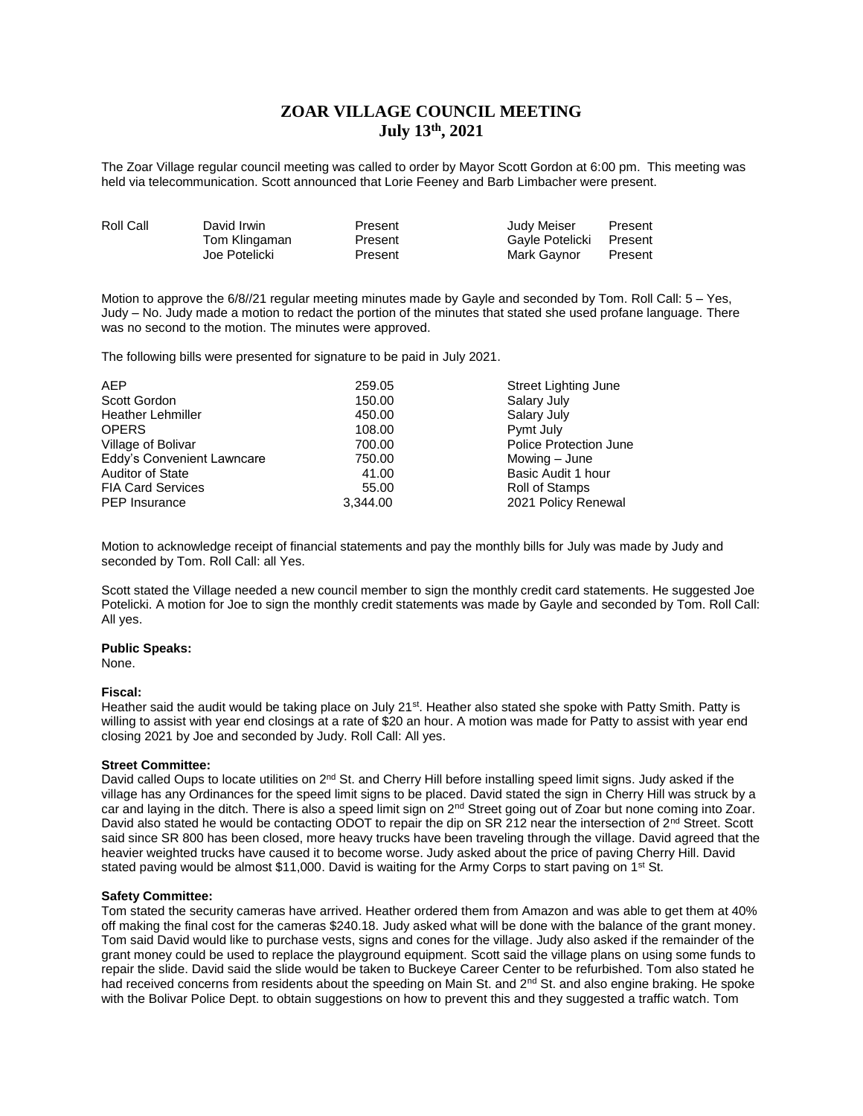# **ZOAR VILLAGE COUNCIL MEETING July 13th, 2021**

The Zoar Village regular council meeting was called to order by Mayor Scott Gordon at 6:00 pm. This meeting was held via telecommunication. Scott announced that Lorie Feeney and Barb Limbacher were present.

| Roll Call | David Irwin   | Present | Judy Meiser     | Present |
|-----------|---------------|---------|-----------------|---------|
|           | Tom Klingaman | Present | Gayle Potelicki | Present |
|           | Joe Potelicki | Present | Mark Gavnor     | Present |

Motion to approve the 6/8//21 regular meeting minutes made by Gayle and seconded by Tom. Roll Call: 5 – Yes, Judy – No. Judy made a motion to redact the portion of the minutes that stated she used profane language. There was no second to the motion. The minutes were approved.

The following bills were presented for signature to be paid in July 2021.

| <b>AEP</b>                 | 259.05   | Street Lighting June   |
|----------------------------|----------|------------------------|
| Scott Gordon               | 150.00   | Salary July            |
| <b>Heather Lehmiller</b>   | 450.00   | Salary July            |
| <b>OPERS</b>               | 108.00   | Pymt July              |
| Village of Bolivar         | 700.00   | Police Protection June |
| Eddy's Convenient Lawncare | 750.00   | Mowing – June          |
| <b>Auditor of State</b>    | 41.00    | Basic Audit 1 hour     |
| <b>FIA Card Services</b>   | 55.00    | Roll of Stamps         |
| <b>PEP</b> Insurance       | 3.344.00 | 2021 Policy Renewal    |

Motion to acknowledge receipt of financial statements and pay the monthly bills for July was made by Judy and seconded by Tom. Roll Call: all Yes.

Scott stated the Village needed a new council member to sign the monthly credit card statements. He suggested Joe Potelicki. A motion for Joe to sign the monthly credit statements was made by Gayle and seconded by Tom. Roll Call: All yes.

#### **Public Speaks:**

None.

## **Fiscal:**

Heather said the audit would be taking place on July 21<sup>st</sup>. Heather also stated she spoke with Patty Smith. Patty is willing to assist with year end closings at a rate of \$20 an hour. A motion was made for Patty to assist with year end closing 2021 by Joe and seconded by Judy. Roll Call: All yes.

#### **Street Committee:**

David called Oups to locate utilities on  $2^{nd}$  St. and Cherry Hill before installing speed limit signs. Judy asked if the village has any Ordinances for the speed limit signs to be placed. David stated the sign in Cherry Hill was struck by a car and laying in the ditch. There is also a speed limit sign on 2<sup>nd</sup> Street going out of Zoar but none coming into Zoar. David also stated he would be contacting ODOT to repair the dip on SR 212 near the intersection of 2<sup>nd</sup> Street. Scott said since SR 800 has been closed, more heavy trucks have been traveling through the village. David agreed that the heavier weighted trucks have caused it to become worse. Judy asked about the price of paving Cherry Hill. David stated paving would be almost \$11,000. David is waiting for the Army Corps to start paving on 1<sup>st</sup> St.

#### **Safety Committee:**

Tom stated the security cameras have arrived. Heather ordered them from Amazon and was able to get them at 40% off making the final cost for the cameras \$240.18. Judy asked what will be done with the balance of the grant money. Tom said David would like to purchase vests, signs and cones for the village. Judy also asked if the remainder of the grant money could be used to replace the playground equipment. Scott said the village plans on using some funds to repair the slide. David said the slide would be taken to Buckeye Career Center to be refurbished. Tom also stated he had received concerns from residents about the speeding on Main St. and 2<sup>nd</sup> St. and also engine braking. He spoke with the Bolivar Police Dept. to obtain suggestions on how to prevent this and they suggested a traffic watch. Tom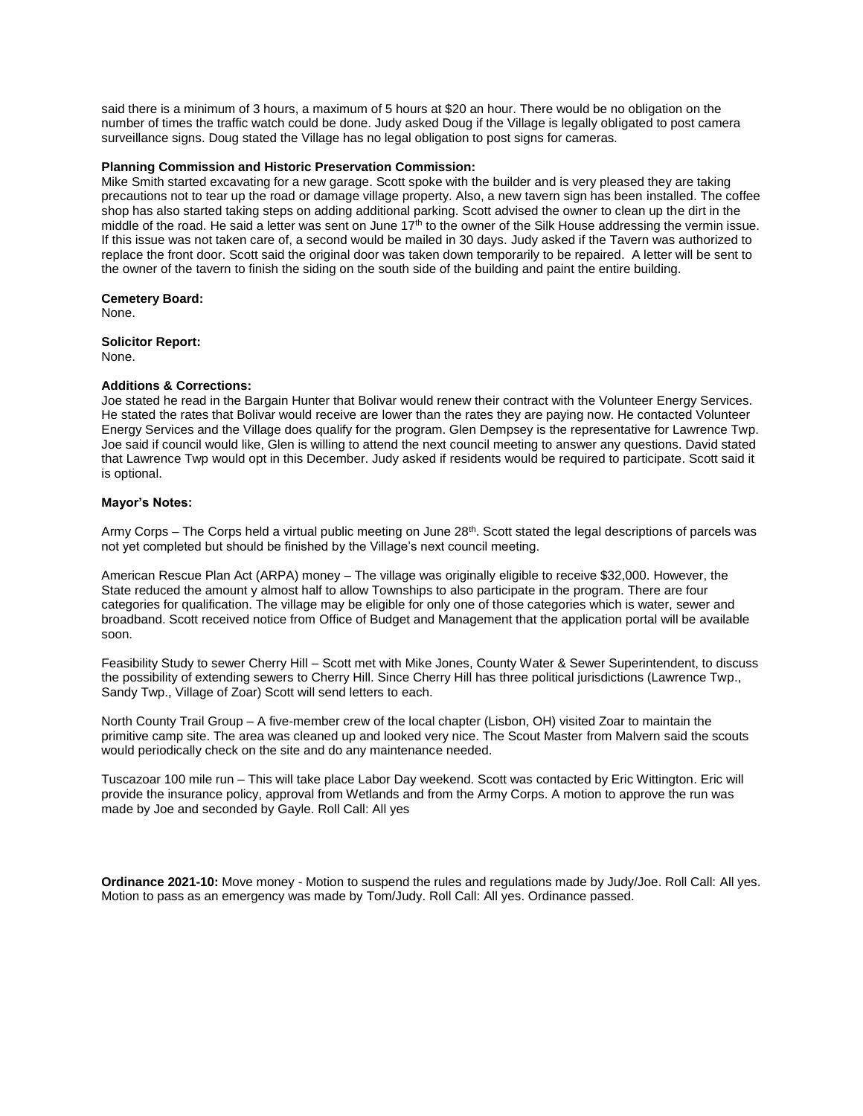said there is a minimum of 3 hours, a maximum of 5 hours at \$20 an hour. There would be no obligation on the number of times the traffic watch could be done. Judy asked Doug if the Village is legally obligated to post camera surveillance signs. Doug stated the Village has no legal obligation to post signs for cameras.

### **Planning Commission and Historic Preservation Commission:**

Mike Smith started excavating for a new garage. Scott spoke with the builder and is very pleased they are taking precautions not to tear up the road or damage village property. Also, a new tavern sign has been installed. The coffee shop has also started taking steps on adding additional parking. Scott advised the owner to clean up the dirt in the middle of the road. He said a letter was sent on June  $17<sup>th</sup>$  to the owner of the Silk House addressing the vermin issue. If this issue was not taken care of, a second would be mailed in 30 days. Judy asked if the Tavern was authorized to replace the front door. Scott said the original door was taken down temporarily to be repaired. A letter will be sent to the owner of the tavern to finish the siding on the south side of the building and paint the entire building.

**Cemetery Board:** None.

**Solicitor Report:** None.

## **Additions & Corrections:**

Joe stated he read in the Bargain Hunter that Bolivar would renew their contract with the Volunteer Energy Services. He stated the rates that Bolivar would receive are lower than the rates they are paying now. He contacted Volunteer Energy Services and the Village does qualify for the program. Glen Dempsey is the representative for Lawrence Twp. Joe said if council would like, Glen is willing to attend the next council meeting to answer any questions. David stated that Lawrence Twp would opt in this December. Judy asked if residents would be required to participate. Scott said it is optional.

## **Mayor's Notes:**

Army Corps – The Corps held a virtual public meeting on June 28th. Scott stated the legal descriptions of parcels was not yet completed but should be finished by the Village's next council meeting.

American Rescue Plan Act (ARPA) money – The village was originally eligible to receive \$32,000. However, the State reduced the amount y almost half to allow Townships to also participate in the program. There are four categories for qualification. The village may be eligible for only one of those categories which is water, sewer and broadband. Scott received notice from Office of Budget and Management that the application portal will be available soon.

Feasibility Study to sewer Cherry Hill – Scott met with Mike Jones, County Water & Sewer Superintendent, to discuss the possibility of extending sewers to Cherry Hill. Since Cherry Hill has three political jurisdictions (Lawrence Twp., Sandy Twp., Village of Zoar) Scott will send letters to each.

North County Trail Group – A five-member crew of the local chapter (Lisbon, OH) visited Zoar to maintain the primitive camp site. The area was cleaned up and looked very nice. The Scout Master from Malvern said the scouts would periodically check on the site and do any maintenance needed.

Tuscazoar 100 mile run – This will take place Labor Day weekend. Scott was contacted by Eric Wittington. Eric will provide the insurance policy, approval from Wetlands and from the Army Corps. A motion to approve the run was made by Joe and seconded by Gayle. Roll Call: All yes

**Ordinance 2021-10:** Move money - Motion to suspend the rules and regulations made by Judy/Joe. Roll Call: All yes. Motion to pass as an emergency was made by Tom/Judy. Roll Call: All yes. Ordinance passed.